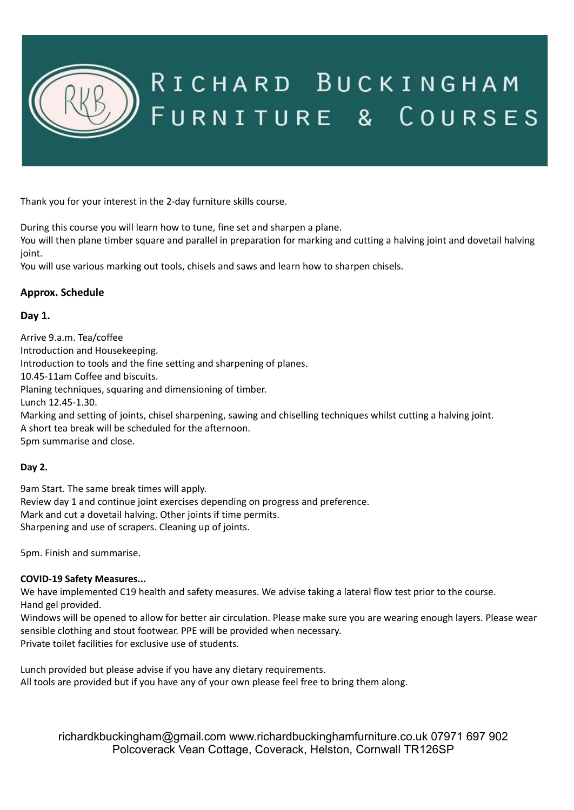

# RICHARD BUCKINGHAM FURNITURE & COURSES

Thank you for your interest in the 2-day furniture skills course.

During this course you will learn how to tune, fine set and sharpen a plane.

You will then plane timber square and parallel in preparation for marking and cutting a halving joint and dovetail halving joint.

You will use various marking out tools, chisels and saws and learn how to sharpen chisels.

## **Approx. Schedule**

## **Day 1.**

Arrive 9.a.m. Tea/coffee Introduction and Housekeeping. Introduction to tools and the fine setting and sharpening of planes. 10.45-11am Coffee and biscuits. Planing techniques, squaring and dimensioning of timber. Lunch 12.45-1.30. Marking and setting of joints, chisel sharpening, sawing and chiselling techniques whilst cutting a halving joint. A short tea break will be scheduled for the afternoon. 5pm summarise and close.

## **Day 2.**

9am Start. The same break times will apply. Review day 1 and continue joint exercises depending on progress and preference. Mark and cut a dovetail halving. Other joints if time permits. Sharpening and use of scrapers. Cleaning up of joints.

5pm. Finish and summarise.

## **COVID-19 Safety Measures...**

We have implemented C19 health and safety measures. We advise taking a lateral flow test prior to the course. Hand gel provided.

Windows will be opened to allow for better air circulation. Please make sure you are wearing enough layers. Please wear sensible clothing and stout footwear. PPE will be provided when necessary. Private toilet facilities for exclusive use of students.

Lunch provided but please advise if you have any dietary requirements. All tools are provided but if you have any of your own please feel free to bring them along.

[richardkbuckingham@gmail.com](mailto:richardkbuckingham@gmail.com) [www.richardbuckinghamfurniture.co.uk](http://www.richardbuckinghamfurniture.co.uk) 07971 697 902 Polcoverack Vean Cottage, Coverack, Helston, Cornwall TR126SP